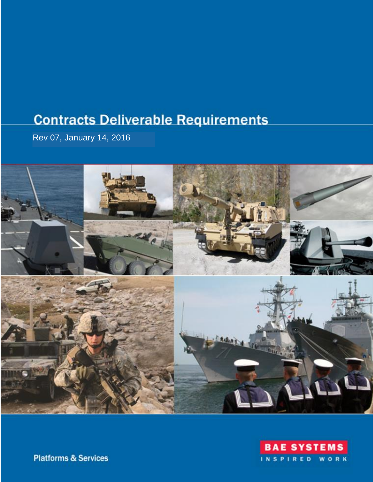# **Contracts Deliverable Requirements**

Rev 07, January 14, 2016





**Platforms & Services**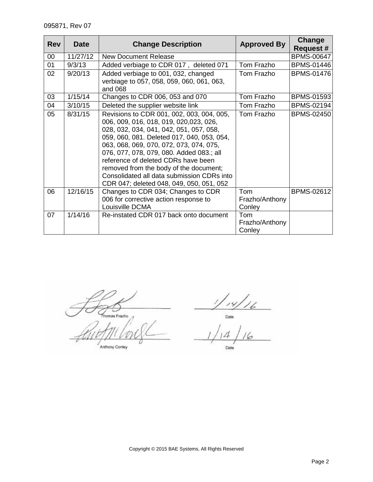| <b>Rev</b> | <b>Date</b> | <b>Change Description</b>                                                                                                                                                                                                                                                                                                                                                                                                                      | <b>Approved By</b>              | Change<br><b>Request #</b> |
|------------|-------------|------------------------------------------------------------------------------------------------------------------------------------------------------------------------------------------------------------------------------------------------------------------------------------------------------------------------------------------------------------------------------------------------------------------------------------------------|---------------------------------|----------------------------|
| 00         | 11/27/12    | <b>New Document Release</b>                                                                                                                                                                                                                                                                                                                                                                                                                    |                                 | <b>BPMS-00647</b>          |
| 01         | 9/3/13      | Added verbiage to CDR 017, deleted 071                                                                                                                                                                                                                                                                                                                                                                                                         | Tom Frazho                      | <b>BPMS-01446</b>          |
| 02         | 9/20/13     | Added verbiage to 001, 032, changed<br>verbiage to 057, 058, 059, 060, 061, 063,<br>and 068                                                                                                                                                                                                                                                                                                                                                    | Tom Frazho                      | <b>BPMS-01476</b>          |
| 03         | 1/15/14     | Changes to CDR 006, 053 and 070                                                                                                                                                                                                                                                                                                                                                                                                                | Tom Frazho                      | <b>BPMS-01593</b>          |
| 04         | 3/10/15     | Deleted the supplier website link                                                                                                                                                                                                                                                                                                                                                                                                              | Tom Frazho                      | <b>BPMS-02194</b>          |
| 05         | 8/31/15     | Revisions to CDR 001, 002, 003, 004, 005,<br>006, 009, 016, 018, 019, 020,023, 026,<br>028, 032, 034, 041, 042, 051, 057, 058,<br>059, 060, 081. Deleted 017, 040, 053, 054,<br>063, 068, 069, 070, 072, 073, 074, 075,<br>076, 077, 078, 079, 080. Added 083.; all<br>reference of deleted CDRs have been<br>removed from the body of the document;<br>Consolidated all data submission CDRs into<br>CDR 047; deleted 048, 049, 050, 051, 052 | Tom Frazho                      | <b>BPMS-02450</b>          |
| 06         | 12/16/15    | Changes to CDR 034; Changes to CDR<br>006 for corrective action response to<br>Louisville DCMA                                                                                                                                                                                                                                                                                                                                                 | Tom<br>Frazho/Anthony<br>Conley | <b>BPMS-02612</b>          |
| 07         | 1/14/16     | Re-instated CDR 017 back onto document                                                                                                                                                                                                                                                                                                                                                                                                         | Tom<br>Frazho/Anthony<br>Conley |                            |

Thomas Frazho

Anthony Conley

 $\frac{1}{\frac{1}{2}}$ <br>  $\frac{1}{\frac{1}{6}}$  $\frac{1}{4}$ Date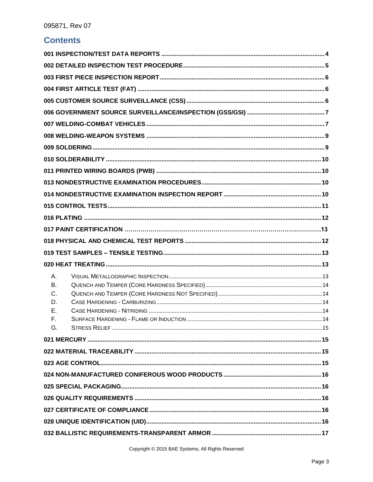### **Contents**

| А.        |  |
|-----------|--|
| <b>B.</b> |  |
| C.        |  |
| D.        |  |
| Е.        |  |
| F.<br>G.  |  |
|           |  |
|           |  |
|           |  |
|           |  |
|           |  |
|           |  |
|           |  |
|           |  |
|           |  |
|           |  |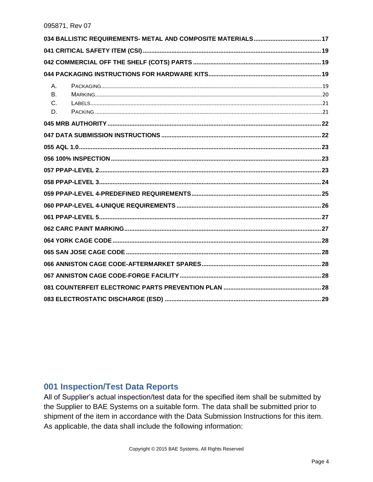| A. |  |
|----|--|
| B. |  |
| C. |  |
| D. |  |
|    |  |
|    |  |
|    |  |
|    |  |
|    |  |
|    |  |
|    |  |
|    |  |
|    |  |
|    |  |
|    |  |
|    |  |
|    |  |
|    |  |
|    |  |
|    |  |

#### <span id="page-3-0"></span>001 Inspection/Test Data Reports

All of Supplier's actual inspection/test data for the specified item shall be submitted by the Supplier to BAE Systems on a suitable form. The data shall be submitted prior to shipment of the item in accordance with the Data Submission Instructions for this item. As applicable, the data shall include the following information: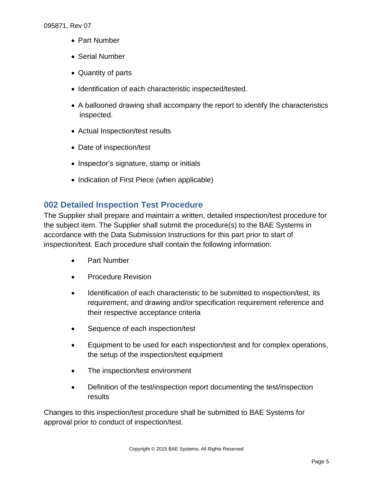- Part Number
- Serial Number
- Quantity of parts
- Identification of each characteristic inspected/tested.
- A ballooned drawing shall accompany the report to identify the characteristics inspected.
- Actual Inspection/test results
- Date of inspection/test
- Inspector's signature, stamp or initials
- Indication of First Piece (when applicable)

# <span id="page-4-0"></span>**002 Detailed Inspection Test Procedure**

The Supplier shall prepare and maintain a written, detailed inspection/test procedure for the subject item. The Supplier shall submit the procedure(s) to the BAE Systems in accordance with the Data Submission Instructions for this part prior to start of inspection/test. Each procedure shall contain the following information:

- Part Number
- Procedure Revision
- Identification of each characteristic to be submitted to inspection/test, its requirement, and drawing and/or specification requirement reference and their respective acceptance criteria
- Sequence of each inspection/test
- Equipment to be used for each inspection/test and for complex operations, the setup of the inspection/test equipment
- The inspection/test environment
- Definition of the test/inspection report documenting the test/inspection results

Changes to this inspection/test procedure shall be submitted to BAE Systems for approval prior to conduct of inspection/test.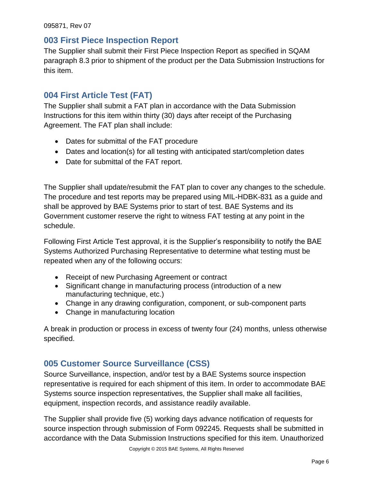#### <span id="page-5-0"></span>**003 First Piece Inspection Report**

The Supplier shall submit their First Piece Inspection Report as specified in SQAM paragraph 8.3 prior to shipment of the product per the Data Submission Instructions for this item.

# <span id="page-5-1"></span>**004 First Article Test (FAT)**

The Supplier shall submit a FAT plan in accordance with the Data Submission Instructions for this item within thirty (30) days after receipt of the Purchasing Agreement. The FAT plan shall include:

- Dates for submittal of the FAT procedure
- Dates and location(s) for all testing with anticipated start/completion dates
- Date for submittal of the FAT report.

The Supplier shall update/resubmit the FAT plan to cover any changes to the schedule. The procedure and test reports may be prepared using MIL-HDBK-831 as a guide and shall be approved by BAE Systems prior to start of test. BAE Systems and its Government customer reserve the right to witness FAT testing at any point in the schedule.

Following First Article Test approval, it is the Supplier's responsibility to notify the BAE Systems Authorized Purchasing Representative to determine what testing must be repeated when any of the following occurs:

- Receipt of new Purchasing Agreement or contract
- Significant change in manufacturing process (introduction of a new manufacturing technique, etc.)
- Change in any drawing configuration, component, or sub-component parts
- Change in manufacturing location

A break in production or process in excess of twenty four (24) months, unless otherwise specified.

# <span id="page-5-2"></span>**005 Customer Source Surveillance (CSS)**

Source Surveillance, inspection, and/or test by a BAE Systems source inspection representative is required for each shipment of this item. In order to accommodate BAE Systems source inspection representatives, the Supplier shall make all facilities, equipment, inspection records, and assistance readily available.

The Supplier shall provide five (5) working days advance notification of requests for source inspection through submission of Form 092245. Requests shall be submitted in accordance with the Data Submission Instructions specified for this item. Unauthorized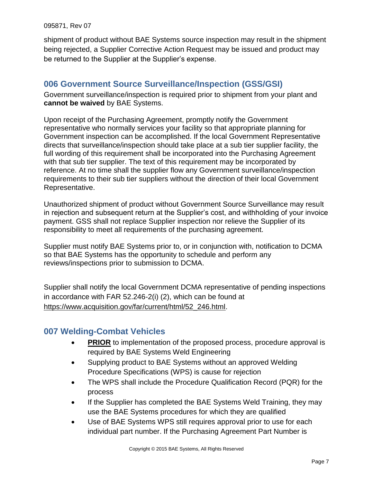shipment of product without BAE Systems source inspection may result in the shipment being rejected, a Supplier Corrective Action Request may be issued and product may be returned to the Supplier at the Supplier's expense.

### <span id="page-6-0"></span>**006 Government Source Surveillance/Inspection (GSS/GSI)**

<span id="page-6-1"></span>Government surveillance/inspection is required prior to shipment from your plant and **cannot be waived** by BAE Systems.

Upon receipt of the Purchasing Agreement, promptly notify the Government representative who normally services your facility so that appropriate planning for Government inspection can be accomplished. If the local Government Representative directs that surveillance/inspection should take place at a sub tier supplier facility, the full wording of this requirement shall be incorporated into the Purchasing Agreement with that sub tier supplier. The text of this requirement may be incorporated by reference. At no time shall the supplier flow any Government surveillance/inspection requirements to their sub tier suppliers without the direction of their local Government Representative.

Unauthorized shipment of product without Government Source Surveillance may result in rejection and subsequent return at the Supplier's cost, and withholding of your invoice payment. GSS shall not replace Supplier inspection nor relieve the Supplier of its responsibility to meet all requirements of the purchasing agreement.

Supplier must notify BAE Systems prior to, or in conjunction with, notification to DCMA so that BAE Systems has the opportunity to schedule and perform any reviews/inspections prior to submission to DCMA.

Supplier shall notify the local Government DCMA representative of pending inspections in accordance with FAR 52.246-2(i) (2), which can be found at https://www.acquisition.gov/far/current/html/52\_246.html.

### **007 Welding-Combat Vehicles**

- **PRIOR** to implementation of the proposed process, procedure approval is required by BAE Systems Weld Engineering
- Supplying product to BAE Systems without an approved Welding Procedure Specifications (WPS) is cause for rejection
- The WPS shall include the Procedure Qualification Record (PQR) for the process
- If the Supplier has completed the BAE Systems Weld Training, they may use the BAE Systems procedures for which they are qualified
- Use of BAE Systems WPS still requires approval prior to use for each individual part number. If the Purchasing Agreement Part Number is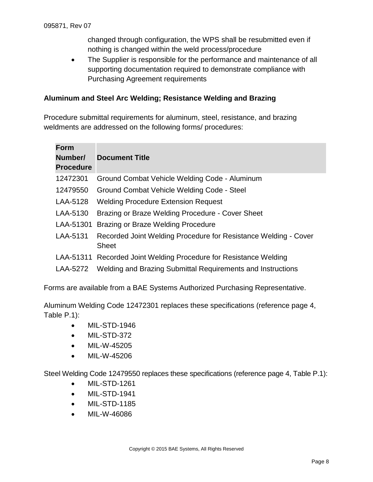changed through configuration, the WPS shall be resubmitted even if nothing is changed within the weld process/procedure

• The Supplier is responsible for the performance and maintenance of all supporting documentation required to demonstrate compliance with Purchasing Agreement requirements

#### **Aluminum and Steel Arc Welding; Resistance Welding and Brazing**

Procedure submittal requirements for aluminum, steel, resistance, and brazing weldments are addressed on the following forms/ procedures:

| <b>Form</b><br>Number/<br><b>Procedure</b> | <b>Document Title</b>                                                           |
|--------------------------------------------|---------------------------------------------------------------------------------|
| 12472301                                   | Ground Combat Vehicle Welding Code - Aluminum                                   |
| 12479550                                   | Ground Combat Vehicle Welding Code - Steel                                      |
| LAA-5128                                   | <b>Welding Procedure Extension Request</b>                                      |
| LAA-5130                                   | Brazing or Braze Welding Procedure - Cover Sheet                                |
| LAA-51301                                  | Brazing or Braze Welding Procedure                                              |
| LAA-5131                                   | Recorded Joint Welding Procedure for Resistance Welding - Cover<br><b>Sheet</b> |
|                                            | LAA-51311 Recorded Joint Welding Procedure for Resistance Welding               |
| LAA-5272                                   | Welding and Brazing Submittal Requirements and Instructions                     |

Forms are available from a BAE Systems Authorized Purchasing Representative.

Aluminum Welding Code 12472301 replaces these specifications (reference page 4, Table P.1):

- MIL-STD-1946
- MIL-STD-372
- MIL-W-45205
- MIL-W-45206

Steel Welding Code 12479550 replaces these specifications (reference page 4, Table P.1):

- MIL-STD-1261
- MIL-STD-1941
- MIL-STD-1185
- MIL-W-46086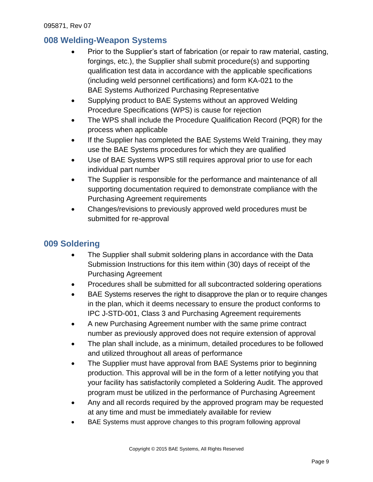### <span id="page-8-0"></span>**008 Welding-Weapon Systems**

- Prior to the Supplier's start of fabrication (or repair to raw material, casting, forgings, etc.), the Supplier shall submit procedure(s) and supporting qualification test data in accordance with the applicable specifications (including weld personnel certifications) and form KA-021 to the BAE Systems Authorized Purchasing Representative
- Supplying product to BAE Systems without an approved Welding Procedure Specifications (WPS) is cause for rejection
- The WPS shall include the Procedure Qualification Record (PQR) for the process when applicable
- If the Supplier has completed the BAE Systems Weld Training, they may use the BAE Systems procedures for which they are qualified
- Use of BAE Systems WPS still requires approval prior to use for each individual part number
- The Supplier is responsible for the performance and maintenance of all supporting documentation required to demonstrate compliance with the Purchasing Agreement requirements
- Changes/revisions to previously approved weld procedures must be submitted for re-approval

### <span id="page-8-1"></span>**009 Soldering**

- The Supplier shall submit soldering plans in accordance with the Data Submission Instructions for this item within (30) days of receipt of the Purchasing Agreement
- Procedures shall be submitted for all subcontracted soldering operations
- BAE Systems reserves the right to disapprove the plan or to require changes in the plan, which it deems necessary to ensure the product conforms to IPC J-STD-001, Class 3 and Purchasing Agreement requirements
- A new Purchasing Agreement number with the same prime contract number as previously approved does not require extension of approval
- The plan shall include, as a minimum, detailed procedures to be followed and utilized throughout all areas of performance
- The Supplier must have approval from BAE Systems prior to beginning production. This approval will be in the form of a letter notifying you that your facility has satisfactorily completed a Soldering Audit. The approved program must be utilized in the performance of Purchasing Agreement
- Any and all records required by the approved program may be requested at any time and must be immediately available for review
- BAE Systems must approve changes to this program following approval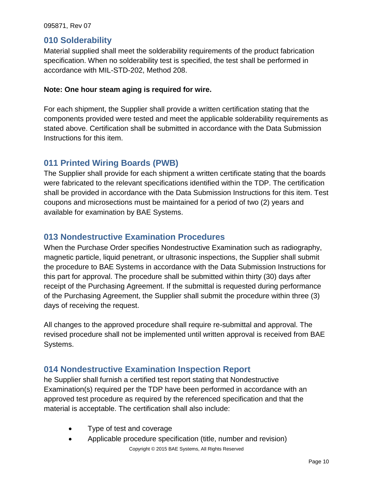#### <span id="page-9-0"></span>**010 Solderability**

Material supplied shall meet the solderability requirements of the product fabrication specification. When no solderability test is specified, the test shall be performed in accordance with MIL-STD-202, Method 208.

#### **Note: One hour steam aging is required for wire.**

For each shipment, the Supplier shall provide a written certification stating that the components provided were tested and meet the applicable solderability requirements as stated above. Certification shall be submitted in accordance with the Data Submission Instructions for this item.

#### <span id="page-9-1"></span>**011 Printed Wiring Boards (PWB)**

The Supplier shall provide for each shipment a written certificate stating that the boards were fabricated to the relevant specifications identified within the TDP. The certification shall be provided in accordance with the Data Submission Instructions for this item. Test coupons and microsections must be maintained for a period of two (2) years and available for examination by BAE Systems.

#### <span id="page-9-2"></span>**013 Nondestructive Examination Procedures**

When the Purchase Order specifies Nondestructive Examination such as radiography, magnetic particle, liquid penetrant, or ultrasonic inspections, the Supplier shall submit the procedure to BAE Systems in accordance with the Data Submission Instructions for this part for approval. The procedure shall be submitted within thirty (30) days after receipt of the Purchasing Agreement. If the submittal is requested during performance of the Purchasing Agreement, the Supplier shall submit the procedure within three (3) days of receiving the request.

All changes to the approved procedure shall require re-submittal and approval. The revised procedure shall not be implemented until written approval is received from BAE Systems.

#### <span id="page-9-3"></span>**014 Nondestructive Examination Inspection Report**

he Supplier shall furnish a certified test report stating that Nondestructive Examination(s) required per the TDP have been performed in accordance with an approved test procedure as required by the referenced specification and that the material is acceptable. The certification shall also include:

- Type of test and coverage
- Copyright © 2015 BAE Systems, All Rights Reserved Applicable procedure specification (title, number and revision)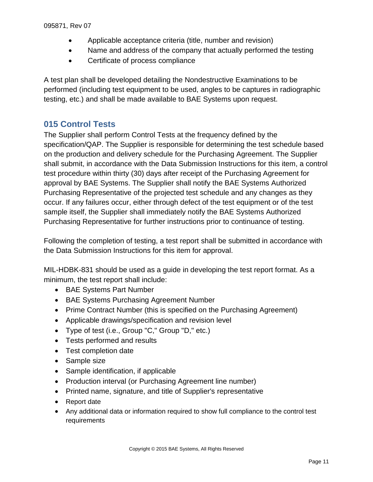- Applicable acceptance criteria (title, number and revision)
- Name and address of the company that actually performed the testing
- Certificate of process compliance

A test plan shall be developed detailing the Nondestructive Examinations to be performed (including test equipment to be used, angles to be captures in radiographic testing, etc.) and shall be made available to BAE Systems upon request.

### <span id="page-10-0"></span>**015 Control Tests**

The Supplier shall perform Control Tests at the frequency defined by the specification/QAP. The Supplier is responsible for determining the test schedule based on the production and delivery schedule for the Purchasing Agreement. The Supplier shall submit, in accordance with the Data Submission Instructions for this item, a control test procedure within thirty (30) days after receipt of the Purchasing Agreement for approval by BAE Systems. The Supplier shall notify the BAE Systems Authorized Purchasing Representative of the projected test schedule and any changes as they occur. If any failures occur, either through defect of the test equipment or of the test sample itself, the Supplier shall immediately notify the BAE Systems Authorized Purchasing Representative for further instructions prior to continuance of testing.

Following the completion of testing, a test report shall be submitted in accordance with the Data Submission Instructions for this item for approval.

MIL-HDBK-831 should be used as a guide in developing the test report format. As a minimum, the test report shall include:

- BAE Systems Part Number
- BAE Systems Purchasing Agreement Number
- Prime Contract Number (this is specified on the Purchasing Agreement)
- Applicable drawings/specification and revision level
- Type of test (i.e., Group "C," Group "D," etc.)
- Tests performed and results
- Test completion date
- Sample size
- Sample identification, if applicable
- Production interval (or Purchasing Agreement line number)
- Printed name, signature, and title of Supplier's representative
- Report date
- Any additional data or information required to show full compliance to the control test requirements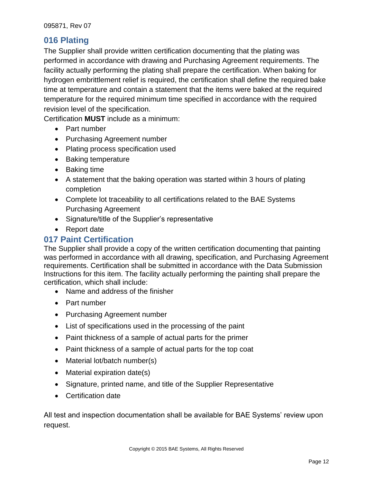### <span id="page-11-0"></span>**016 Plating**

The Supplier shall provide written certification documenting that the plating was performed in accordance with drawing and Purchasing Agreement requirements. The facility actually performing the plating shall prepare the certification. When baking for hydrogen embrittlement relief is required, the certification shall define the required bake time at temperature and contain a statement that the items were baked at the required temperature for the required minimum time specified in accordance with the required revision level of the specification.

Certification **MUST** include as a minimum:

- Part number
- Purchasing Agreement number
- Plating process specification used
- Baking temperature
- Baking time
- A statement that the baking operation was started within 3 hours of plating completion
- Complete lot traceability to all certifications related to the BAE Systems Purchasing Agreement
- Signature/title of the Supplier's representative
- Report date

#### <span id="page-11-1"></span>**017 Paint Certification**

The Supplier shall provide a copy of the written certification documenting that painting was performed in accordance with all drawing, specification, and Purchasing Agreement requirements. Certification shall be submitted in accordance with the Data Submission Instructions for this item. The facility actually performing the painting shall prepare the certification, which shall include:

- Name and address of the finisher
- Part number
- Purchasing Agreement number
- List of specifications used in the processing of the paint
- Paint thickness of a sample of actual parts for the primer
- Paint thickness of a sample of actual parts for the top coat
- Material lot/batch number(s)
- Material expiration date(s)
- Signature, printed name, and title of the Supplier Representative
- Certification date

All test and inspection documentation shall be available for BAE Systems' review upon request.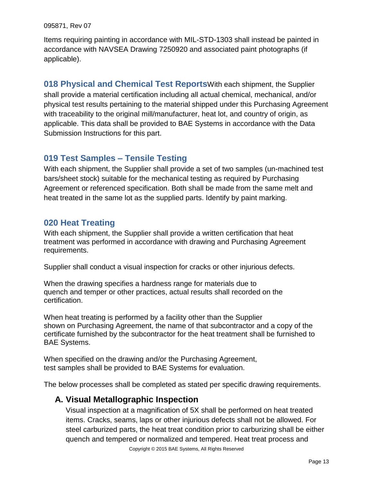Items requiring painting in accordance with MIL-STD-1303 shall instead be painted in accordance with NAVSEA Drawing 7250920 and associated paint photographs (if applicable).

**018 Physical and Chemical Test Reports**With each shipment, the Supplier shall provide a material certification including all actual chemical, mechanical, and/or physical test results pertaining to the material shipped under this Purchasing Agreement with traceability to the original mill/manufacturer, heat lot, and country of origin, as applicable. This data shall be provided to BAE Systems in accordance with the Data Submission Instructions for this part.

# <span id="page-12-0"></span>**019 Test Samples – Tensile Testing**

With each shipment, the Supplier shall provide a set of two samples (un-machined test bars/sheet stock) suitable for the mechanical testing as required by Purchasing Agreement or referenced specification. Both shall be made from the same melt and heat treated in the same lot as the supplied parts. Identify by paint marking.

# <span id="page-12-1"></span>**020 Heat Treating**

With each shipment, the Supplier shall provide a written certification that heat treatment was performed in accordance with drawing and Purchasing Agreement requirements.

Supplier shall conduct a visual inspection for cracks or other injurious defects.

When the drawing specifies a hardness range for materials due to quench and temper or other practices, actual results shall recorded on the certification.

When heat treating is performed by a facility other than the Supplier shown on Purchasing Agreement, the name of that subcontractor and a copy of the certificate furnished by the subcontractor for the heat treatment shall be furnished to BAE Systems.

When specified on the drawing and/or the Purchasing Agreement, test samples shall be provided to BAE Systems for evaluation.

<span id="page-12-2"></span>The below processes shall be completed as stated per specific drawing requirements.

### **A. Visual Metallographic Inspection**

Visual inspection at a magnification of 5X shall be performed on heat treated items. Cracks, seams, laps or other injurious defects shall not be allowed. For steel carburized parts, the heat treat condition prior to carburizing shall be either quench and tempered or normalized and tempered. Heat treat process and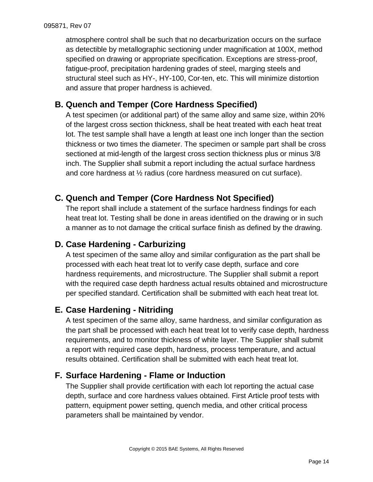atmosphere control shall be such that no decarburization occurs on the surface as detectible by metallographic sectioning under magnification at 100X, method specified on drawing or appropriate specification. Exceptions are stress-proof, fatigue-proof, precipitation hardening grades of steel, marging steels and structural steel such as HY-, HY-100, Cor-ten, etc. This will minimize distortion and assure that proper hardness is achieved.

# <span id="page-13-0"></span>**B. Quench and Temper (Core Hardness Specified)**

A test specimen (or additional part) of the same alloy and same size, within 20% of the largest cross section thickness, shall be heat treated with each heat treat lot. The test sample shall have a length at least one inch longer than the section thickness or two times the diameter. The specimen or sample part shall be cross sectioned at mid-length of the largest cross section thickness plus or minus 3/8 inch. The Supplier shall submit a report including the actual surface hardness and core hardness at  $\frac{1}{2}$  radius (core hardness measured on cut surface).

# <span id="page-13-1"></span>**C. Quench and Temper (Core Hardness Not Specified)**

The report shall include a statement of the surface hardness findings for each heat treat lot. Testing shall be done in areas identified on the drawing or in such a manner as to not damage the critical surface finish as defined by the drawing.

### <span id="page-13-2"></span>**D. Case Hardening - Carburizing**

A test specimen of the same alloy and similar configuration as the part shall be processed with each heat treat lot to verify case depth, surface and core hardness requirements, and microstructure. The Supplier shall submit a report with the required case depth hardness actual results obtained and microstructure per specified standard. Certification shall be submitted with each heat treat lot.

### <span id="page-13-3"></span>**E. Case Hardening - Nitriding**

A test specimen of the same alloy, same hardness, and similar configuration as the part shall be processed with each heat treat lot to verify case depth, hardness requirements, and to monitor thickness of white layer. The Supplier shall submit a report with required case depth, hardness, process temperature, and actual results obtained. Certification shall be submitted with each heat treat lot.

# <span id="page-13-4"></span>**F. Surface Hardening - Flame or Induction**

The Supplier shall provide certification with each lot reporting the actual case depth, surface and core hardness values obtained. First Article proof tests with pattern, equipment power setting, quench media, and other critical process parameters shall be maintained by vendor.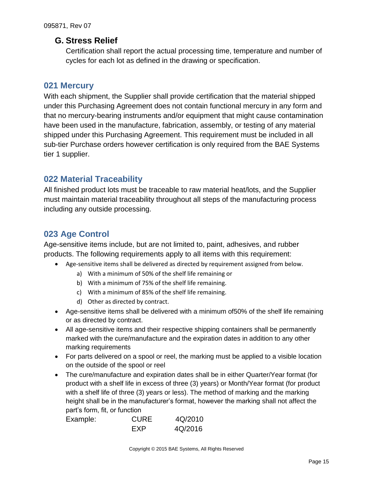#### <span id="page-14-0"></span>**G. Stress Relief**

Certification shall report the actual processing time, temperature and number of cycles for each lot as defined in the drawing or specification.

#### <span id="page-14-1"></span>**021 Mercury**

With each shipment, the Supplier shall provide certification that the material shipped under this Purchasing Agreement does not contain functional mercury in any form and that no mercury-bearing instruments and/or equipment that might cause contamination have been used in the manufacture, fabrication, assembly, or testing of any material shipped under this Purchasing Agreement. This requirement must be included in all sub-tier Purchase orders however certification is only required from the BAE Systems tier 1 supplier.

#### <span id="page-14-2"></span>**022 Material Traceability**

All finished product lots must be traceable to raw material heat/lots, and the Supplier must maintain material traceability throughout all steps of the manufacturing process including any outside processing.

# <span id="page-14-3"></span>**023 Age Control**

Age-sensitive items include, but are not limited to, paint, adhesives, and rubber products. The following requirements apply to all items with this requirement:

- Age-sensitive items shall be delivered as directed by requirement assigned from below.
	- a) With a minimum of 50% of the shelf life remaining or
	- b) With a minimum of 75% of the shelf life remaining.
	- c) With a minimum of 85% of the shelf life remaining.
	- d) Other as directed by contract.
- Age-sensitive items shall be delivered with a minimum of50% of the shelf life remaining or as directed by contract.
- All age-sensitive items and their respective shipping containers shall be permanently marked with the cure/manufacture and the expiration dates in addition to any other marking requirements
- For parts delivered on a spool or reel, the marking must be applied to a visible location on the outside of the spool or reel
- The cure/manufacture and expiration dates shall be in either Quarter/Year format (for product with a shelf life in excess of three (3) years) or Month/Year format (for product with a shelf life of three (3) years or less). The method of marking and the marking height shall be in the manufacturer's format, however the marking shall not affect the part's form, fit, or function

| Example: | <b>CURE</b> | 4Q/2010 |
|----------|-------------|---------|
|          | <b>FXP</b>  | 4Q/2016 |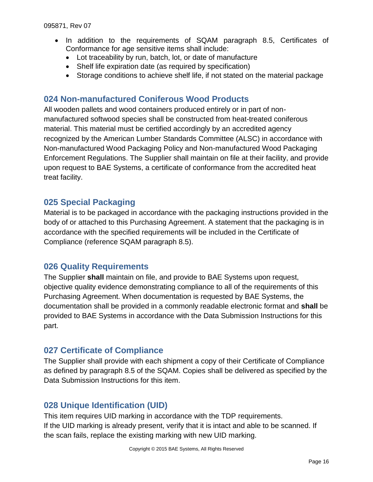- In addition to the requirements of SQAM paragraph 8.5, Certificates of Conformance for age sensitive items shall include:
	- Lot traceability by run, batch, lot, or date of manufacture
	- Shelf life expiration date (as required by specification)
	- Storage conditions to achieve shelf life, if not stated on the material package

#### <span id="page-15-0"></span>**024 Non-manufactured Coniferous Wood Products**

All wooden pallets and wood containers produced entirely or in part of nonmanufactured softwood species shall be constructed from heat-treated coniferous material. This material must be certified accordingly by an accredited agency recognized by the American Lumber Standards Committee (ALSC) in accordance with Non-manufactured Wood Packaging Policy and Non-manufactured Wood Packaging Enforcement Regulations. The Supplier shall maintain on file at their facility, and provide upon request to BAE Systems, a certificate of conformance from the accredited heat treat facility.

### <span id="page-15-1"></span>**025 Special Packaging**

Material is to be packaged in accordance with the packaging instructions provided in the body of or attached to this Purchasing Agreement. A statement that the packaging is in accordance with the specified requirements will be included in the Certificate of Compliance (reference SQAM paragraph 8.5).

#### <span id="page-15-2"></span>**026 Quality Requirements**

The Supplier **shall** maintain on file, and provide to BAE Systems upon request, objective quality evidence demonstrating compliance to all of the requirements of this Purchasing Agreement. When documentation is requested by BAE Systems, the documentation shall be provided in a commonly readable electronic format and **shall** be provided to BAE Systems in accordance with the Data Submission Instructions for this part.

#### <span id="page-15-3"></span>**027 Certificate of Compliance**

The Supplier shall provide with each shipment a copy of their Certificate of Compliance as defined by paragraph 8.5 of the SQAM. Copies shall be delivered as specified by the Data Submission Instructions for this item.

#### <span id="page-15-4"></span>**028 Unique Identification (UID)**

This item requires UID marking in accordance with the TDP requirements. If the UID marking is already present, verify that it is intact and able to be scanned. If the scan fails, replace the existing marking with new UID marking.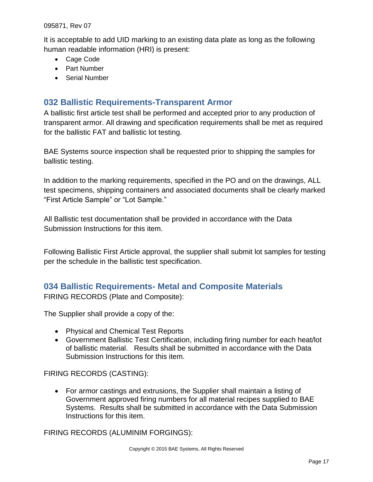It is acceptable to add UID marking to an existing data plate as long as the following human readable information (HRI) is present:

- Cage Code
- Part Number
- <span id="page-16-0"></span>Serial Number

### **032 Ballistic Requirements-Transparent Armor**

A ballistic first article test shall be performed and accepted prior to any production of transparent armor. All drawing and specification requirements shall be met as required for the ballistic FAT and ballistic lot testing.

BAE Systems source inspection shall be requested prior to shipping the samples for ballistic testing.

In addition to the marking requirements, specified in the PO and on the drawings, ALL test specimens, shipping containers and associated documents shall be clearly marked "First Article Sample" or "Lot Sample."

All Ballistic test documentation shall be provided in accordance with the Data Submission Instructions for this item.

Following Ballistic First Article approval, the supplier shall submit lot samples for testing per the schedule in the ballistic test specification.

#### <span id="page-16-1"></span>**034 Ballistic Requirements- Metal and Composite Materials**

FIRING RECORDS (Plate and Composite):

The Supplier shall provide a copy of the:

- Physical and Chemical Test Reports
- Government Ballistic Test Certification, including firing number for each heat/lot of ballistic material. Results shall be submitted in accordance with the Data Submission Instructions for this item.

FIRING RECORDS (CASTING):

 For armor castings and extrusions, the Supplier shall maintain a listing of Government approved firing numbers for all material recipes supplied to BAE Systems. Results shall be submitted in accordance with the Data Submission Instructions for this item.

FIRING RECORDS (ALUMINIM FORGINGS):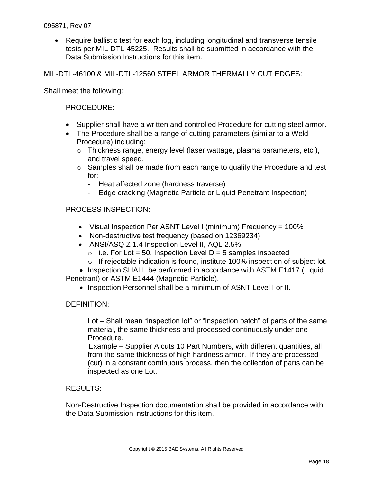• Require ballistic test for each log, including longitudinal and transverse tensile tests per MIL-DTL-45225. Results shall be submitted in accordance with the Data Submission Instructions for this item.

MIL-DTL-46100 & MIL-DTL-12560 STEEL ARMOR THERMALLY CUT EDGES:

Shall meet the following:

#### PROCEDURE:

- Supplier shall have a written and controlled Procedure for cutting steel armor.
- The Procedure shall be a range of cutting parameters (similar to a Weld Procedure) including:
	- o Thickness range, energy level (laser wattage, plasma parameters, etc.), and travel speed.
	- o Samples shall be made from each range to qualify the Procedure and test for:
		- Heat affected zone (hardness traverse)
		- Edge cracking (Magnetic Particle or Liquid Penetrant Inspection)

#### PROCESS INSPECTION:

- Visual Inspection Per ASNT Level I (minimum) Frequency = 100%
- Non-destructive test frequency (based on 12369234)
- ANSI/ASQ Z 1.4 Inspection Level II, AQL 2.5%
	- $\circ$  i.e. For Lot = 50, Inspection Level D = 5 samples inspected
	- $\circ$  If rejectable indication is found, institute 100% inspection of subject lot.

• Inspection SHALL be performed in accordance with ASTM E1417 (Liquid Penetrant) or ASTM E1444 (Magnetic Particle).

• Inspection Personnel shall be a minimum of ASNT Level I or II.

#### DEFINITION:

Lot – Shall mean "inspection lot" or "inspection batch" of parts of the same material, the same thickness and processed continuously under one Procedure.

Example – Supplier A cuts 10 Part Numbers, with different quantities, all from the same thickness of high hardness armor. If they are processed (cut) in a constant continuous process, then the collection of parts can be inspected as one Lot.

#### RESULTS:

Non-Destructive Inspection documentation shall be provided in accordance with the Data Submission instructions for this item.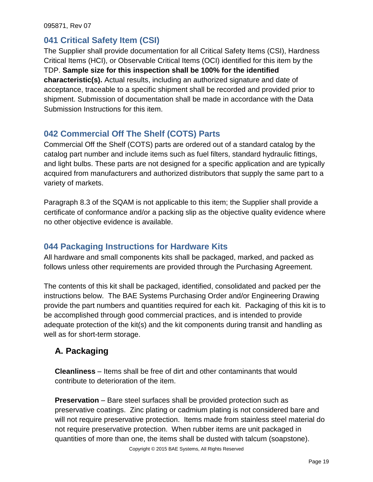### <span id="page-18-0"></span>**041 Critical Safety Item (CSI)**

The Supplier shall provide documentation for all Critical Safety Items (CSI), Hardness Critical Items (HCI), or Observable Critical Items (OCI) identified for this item by the TDP. **Sample size for this inspection shall be 100% for the identified characteristic(s).** Actual results, including an authorized signature and date of acceptance, traceable to a specific shipment shall be recorded and provided prior to shipment. Submission of documentation shall be made in accordance with the Data Submission Instructions for this item.

# <span id="page-18-1"></span>**042 Commercial Off The Shelf (COTS) Parts**

Commercial Off the Shelf (COTS) parts are ordered out of a standard catalog by the catalog part number and include items such as fuel filters, standard hydraulic fittings, and light bulbs. These parts are not designed for a specific application and are typically acquired from manufacturers and authorized distributors that supply the same part to a variety of markets.

Paragraph 8.3 of the SQAM is not applicable to this item; the Supplier shall provide a certificate of conformance and/or a packing slip as the objective quality evidence where no other objective evidence is available.

# <span id="page-18-2"></span>**044 Packaging Instructions for Hardware Kits**

All hardware and small components kits shall be packaged, marked, and packed as follows unless other requirements are provided through the Purchasing Agreement.

The contents of this kit shall be packaged, identified, consolidated and packed per the instructions below. The BAE Systems Purchasing Order and/or Engineering Drawing provide the part numbers and quantities required for each kit. Packaging of this kit is to be accomplished through good commercial practices, and is intended to provide adequate protection of the kit(s) and the kit components during transit and handling as well as for short-term storage.

# <span id="page-18-3"></span>**A. Packaging**

**Cleanliness** – Items shall be free of dirt and other contaminants that would contribute to deterioration of the item.

**Preservation** – Bare steel surfaces shall be provided protection such as preservative coatings. Zinc plating or cadmium plating is not considered bare and will not require preservative protection. Items made from stainless steel material do not require preservative protection. When rubber items are unit packaged in quantities of more than one, the items shall be dusted with talcum (soapstone).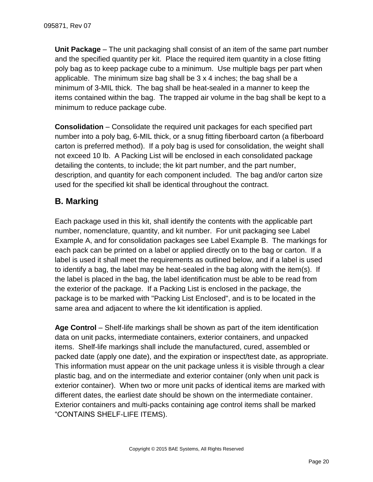**Unit Package** – The unit packaging shall consist of an item of the same part number and the specified quantity per kit. Place the required item quantity in a close fitting poly bag as to keep package cube to a minimum. Use multiple bags per part when applicable. The minimum size bag shall be  $3 \times 4$  inches; the bag shall be a minimum of 3-MIL thick. The bag shall be heat-sealed in a manner to keep the items contained within the bag. The trapped air volume in the bag shall be kept to a minimum to reduce package cube.

**Consolidation** – Consolidate the required unit packages for each specified part number into a poly bag, 6-MIL thick, or a snug fitting fiberboard carton (a fiberboard carton is preferred method). If a poly bag is used for consolidation, the weight shall not exceed 10 lb. A Packing List will be enclosed in each consolidated package detailing the contents, to include; the kit part number, and the part number, description, and quantity for each component included. The bag and/or carton size used for the specified kit shall be identical throughout the contract.

# <span id="page-19-0"></span>**B. Marking**

Each package used in this kit, shall identify the contents with the applicable part number, nomenclature, quantity, and kit number. For unit packaging see Label Example A, and for consolidation packages see Label Example B. The markings for each pack can be printed on a label or applied directly on to the bag or carton. If a label is used it shall meet the requirements as outlined below, and if a label is used to identify a bag, the label may be heat-sealed in the bag along with the item(s). If the label is placed in the bag, the label identification must be able to be read from the exterior of the package. If a Packing List is enclosed in the package, the package is to be marked with "Packing List Enclosed", and is to be located in the same area and adjacent to where the kit identification is applied.

**Age Control** – Shelf-life markings shall be shown as part of the item identification data on unit packs, intermediate containers, exterior containers, and unpacked items. Shelf-life markings shall include the manufactured, cured, assembled or packed date (apply one date), and the expiration or inspect/test date, as appropriate. This information must appear on the unit package unless it is visible through a clear plastic bag, and on the intermediate and exterior container (only when unit pack is exterior container). When two or more unit packs of identical items are marked with different dates, the earliest date should be shown on the intermediate container. Exterior containers and multi-packs containing age control items shall be marked "CONTAINS SHELF-LIFE ITEMS).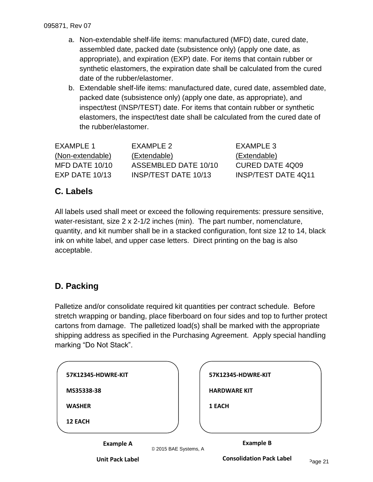- a. Non-extendable shelf-life items: manufactured (MFD) date, cured date, assembled date, packed date (subsistence only) (apply one date, as appropriate), and expiration (EXP) date. For items that contain rubber or synthetic elastomers, the expiration date shall be calculated from the cured date of the rubber/elastomer.
- b. Extendable shelf-life items: manufactured date, cured date, assembled date, packed date (subsistence only) (apply one date, as appropriate), and inspect/test (INSP/TEST) date. For items that contain rubber or synthetic elastomers, the inspect/test date shall be calculated from the cured date of the rubber/elastomer.

| FXAMPLE 1        | FXAMPLE 2            | EXAMPLE 3                  |
|------------------|----------------------|----------------------------|
| (Non-extendable) | (Extendable)         | (Extendable)               |
| MFD DATE 10/10   | ASSEMBLED DATE 10/10 | <b>CURED DATE 4Q09</b>     |
| $EXP$ DATE 10/13 | INSP/TEST DATE 10/13 | <b>INSP/TEST DATE 4Q11</b> |

# <span id="page-20-0"></span>**C. Labels**

All labels used shall meet or exceed the following requirements: pressure sensitive, water-resistant, size 2 x 2-1/2 inches (min). The part number, nomenclature, quantity, and kit number shall be in a stacked configuration, font size 12 to 14, black ink on white label, and upper case letters. Direct printing on the bag is also acceptable.

# <span id="page-20-1"></span>**D. Packing**

Palletize and/or consolidate required kit quantities per contract schedule. Before stretch wrapping or banding, place fiberboard on four sides and top to further protect cartons from damage. The palletized load(s) shall be marked with the appropriate shipping address as specified in the Purchasing Agreement. Apply special handling marking "Do Not Stack".

| 57K12345-HDWRE-KIT |                       | 57K12345-HDWRE-KIT  |
|--------------------|-----------------------|---------------------|
| MS35338-38         |                       | <b>HARDWARE KIT</b> |
| <b>WASHER</b>      |                       | 1 EACH              |
| <b>12 EACH</b>     |                       |                     |
| <b>Example A</b>   | © 2015 BAE Systems, A | <b>Example B</b>    |

**Unit Pack Label**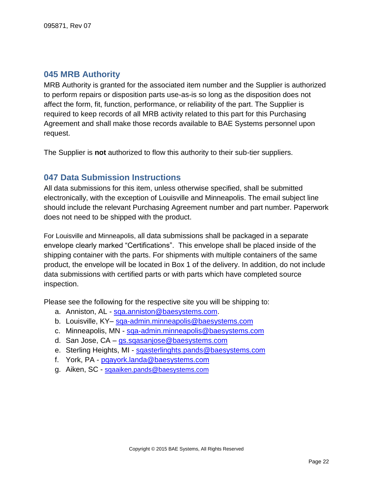### <span id="page-21-0"></span>**045 MRB Authority**

MRB Authority is granted for the associated item number and the Supplier is authorized to perform repairs or disposition parts use-as-is so long as the disposition does not affect the form, fit, function, performance, or reliability of the part. The Supplier is required to keep records of all MRB activity related to this part for this Purchasing Agreement and shall make those records available to BAE Systems personnel upon request.

<span id="page-21-1"></span>The Supplier is **not** authorized to flow this authority to their sub-tier suppliers.

#### **047 Data Submission Instructions**

All data submissions for this item, unless otherwise specified, shall be submitted electronically, with the exception of Louisville and Minneapolis. The email subject line should include the relevant Purchasing Agreement number and part number. Paperwork does not need to be shipped with the product.

For Louisville and Minneapolis, all data submissions shall be packaged in a separate envelope clearly marked "Certifications". This envelope shall be placed inside of the shipping container with the parts. For shipments with multiple containers of the same product, the envelope will be located in Box 1 of the delivery. In addition, do not include data submissions with certified parts or with parts which have completed source inspection.

Please see the following for the respective site you will be shipping to:

- a. Anniston, AL sga.anniston@baesystems.com.
- b. Louisville, KY- [sqa-admin.minneapolis@baesystems.com](mailto:sqa-admin.minneapolis@baesystems.com)
- c. Minneapolis, MN [sqa-admin.minneapolis@baesystems.com](mailto:sqa-admin.minneapolis@baesystems.com)
- d. San Jose, CA [gs.sqasanjose@baesystems.com](mailto:gs.sqasanjose@baesystems.com)
- e. Sterling Heights, MI [sqasterlinghts.pands@baesystems.com](mailto:sqasterlinghts.pands@baesystems.com)
- f. York, PA [pqayork.landa@baesystems.com](mailto:pqayork.landa@baesystems.com)
- <span id="page-21-2"></span>g. Aiken, SC - [sqaaiken.pands@baesystems.com](mailto:sqaaiken.pands@baesystems.com)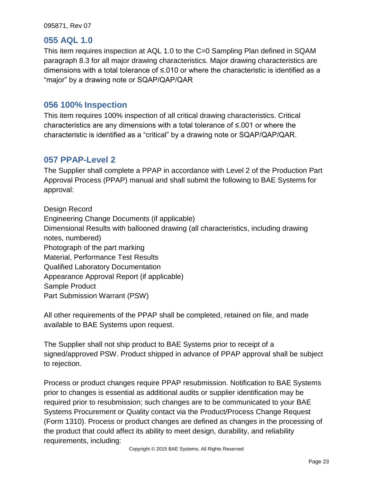#### **055 AQL 1.0**

This item requires inspection at AQL 1.0 to the C=0 Sampling Plan defined in SQAM paragraph 8.3 for all major drawing characteristics. Major drawing characteristics are dimensions with a total tolerance of ≤.010 or where the characteristic is identified as a "major" by a drawing note or SQAP/QAP/QAR

#### <span id="page-22-0"></span>**056 100% Inspection**

This item requires 100% inspection of all critical drawing characteristics. Critical characteristics are any dimensions with a total tolerance of ≤.001 or where the characteristic is identified as a "critical" by a drawing note or SQAP/QAP/QAR.

#### <span id="page-22-1"></span>**057 PPAP-Level 2**

The Supplier shall complete a PPAP in accordance with Level 2 of the Production Part Approval Process (PPAP) manual and shall submit the following to BAE Systems for approval:

Design Record Engineering Change Documents (if applicable) Dimensional Results with ballooned drawing (all characteristics, including drawing notes, numbered) Photograph of the part marking Material, Performance Test Results Qualified Laboratory Documentation Appearance Approval Report (if applicable) Sample Product Part Submission Warrant (PSW)

All other requirements of the PPAP shall be completed, retained on file, and made available to BAE Systems upon request.

The Supplier shall not ship product to BAE Systems prior to receipt of a signed/approved PSW. Product shipped in advance of PPAP approval shall be subject to rejection.

Process or product changes require PPAP resubmission. Notification to BAE Systems prior to changes is essential as additional audits or supplier identification may be required prior to resubmission; such changes are to be communicated to your BAE Systems Procurement or Quality contact via the Product/Process Change Request (Form 1310). Process or product changes are defined as changes in the processing of the product that could affect its ability to meet design, durability, and reliability requirements, including: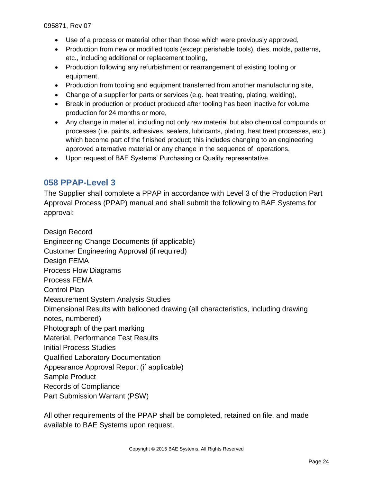- Use of a process or material other than those which were previously approved,
- Production from new or modified tools (except perishable tools), dies, molds, patterns, etc., including additional or replacement tooling,
- Production following any refurbishment or rearrangement of existing tooling or equipment,
- Production from tooling and equipment transferred from another manufacturing site,
- Change of a supplier for parts or services (e.g. heat treating, plating, welding),
- Break in production or product produced after tooling has been inactive for volume production for 24 months or more,
- Any change in material, including not only raw material but also chemical compounds or processes (i.e. paints, adhesives, sealers, lubricants, plating, heat treat processes, etc.) which become part of the finished product; this includes changing to an engineering approved alternative material or any change in the sequence of operations,
- Upon request of BAE Systems' Purchasing or Quality representative.

### <span id="page-23-0"></span>**058 PPAP-Level 3**

The Supplier shall complete a PPAP in accordance with Level 3 of the Production Part Approval Process (PPAP) manual and shall submit the following to BAE Systems for approval:

Design Record Engineering Change Documents (if applicable) Customer Engineering Approval (if required) Design FEMA Process Flow Diagrams Process FEMA Control Plan Measurement System Analysis Studies Dimensional Results with ballooned drawing (all characteristics, including drawing notes, numbered) Photograph of the part marking Material, Performance Test Results Initial Process Studies Qualified Laboratory Documentation Appearance Approval Report (if applicable) Sample Product Records of Compliance Part Submission Warrant (PSW)

All other requirements of the PPAP shall be completed, retained on file, and made available to BAE Systems upon request.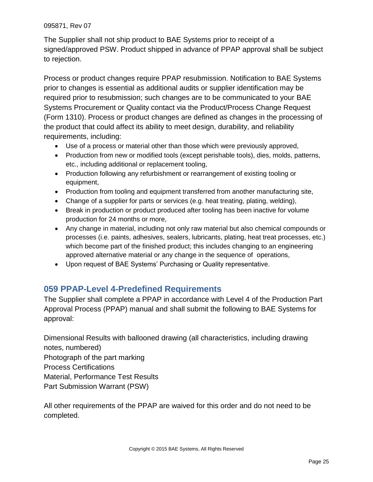The Supplier shall not ship product to BAE Systems prior to receipt of a signed/approved PSW. Product shipped in advance of PPAP approval shall be subject to rejection.

Process or product changes require PPAP resubmission. Notification to BAE Systems prior to changes is essential as additional audits or supplier identification may be required prior to resubmission; such changes are to be communicated to your BAE Systems Procurement or Quality contact via the Product/Process Change Request (Form 1310). Process or product changes are defined as changes in the processing of the product that could affect its ability to meet design, durability, and reliability requirements, including:

- Use of a process or material other than those which were previously approved,
- Production from new or modified tools (except perishable tools), dies, molds, patterns, etc., including additional or replacement tooling,
- Production following any refurbishment or rearrangement of existing tooling or equipment,
- Production from tooling and equipment transferred from another manufacturing site,
- Change of a supplier for parts or services (e.g. heat treating, plating, welding),
- Break in production or product produced after tooling has been inactive for volume production for 24 months or more,
- Any change in material, including not only raw material but also chemical compounds or processes (i.e. paints, adhesives, sealers, lubricants, plating, heat treat processes, etc.) which become part of the finished product; this includes changing to an engineering approved alternative material or any change in the sequence of operations,
- Upon request of BAE Systems' Purchasing or Quality representative.

# <span id="page-24-0"></span>**059 PPAP-Level 4-Predefined Requirements**

The Supplier shall complete a PPAP in accordance with Level 4 of the Production Part Approval Process (PPAP) manual and shall submit the following to BAE Systems for approval:

Dimensional Results with ballooned drawing (all characteristics, including drawing notes, numbered) Photograph of the part marking Process Certifications Material, Performance Test Results Part Submission Warrant (PSW)

All other requirements of the PPAP are waived for this order and do not need to be completed.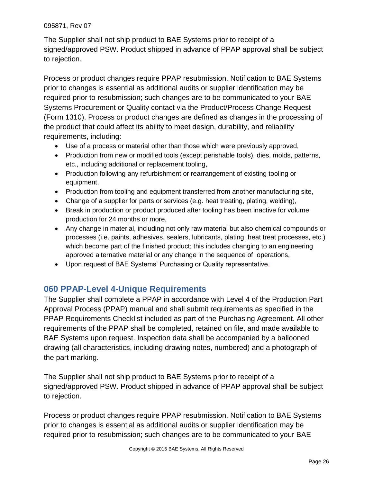The Supplier shall not ship product to BAE Systems prior to receipt of a signed/approved PSW. Product shipped in advance of PPAP approval shall be subject to rejection.

Process or product changes require PPAP resubmission. Notification to BAE Systems prior to changes is essential as additional audits or supplier identification may be required prior to resubmission; such changes are to be communicated to your BAE Systems Procurement or Quality contact via the Product/Process Change Request (Form 1310). Process or product changes are defined as changes in the processing of the product that could affect its ability to meet design, durability, and reliability requirements, including:

- Use of a process or material other than those which were previously approved,
- Production from new or modified tools (except perishable tools), dies, molds, patterns, etc., including additional or replacement tooling,
- Production following any refurbishment or rearrangement of existing tooling or equipment,
- Production from tooling and equipment transferred from another manufacturing site,
- Change of a supplier for parts or services (e.g. heat treating, plating, welding),
- Break in production or product produced after tooling has been inactive for volume production for 24 months or more,
- Any change in material, including not only raw material but also chemical compounds or processes (i.e. paints, adhesives, sealers, lubricants, plating, heat treat processes, etc.) which become part of the finished product; this includes changing to an engineering approved alternative material or any change in the sequence of operations,
- Upon request of BAE Systems' Purchasing or Quality representative.

# <span id="page-25-0"></span>**060 PPAP-Level 4-Unique Requirements**

The Supplier shall complete a PPAP in accordance with Level 4 of the Production Part Approval Process (PPAP) manual and shall submit requirements as specified in the PPAP Requirements Checklist included as part of the Purchasing Agreement. All other requirements of the PPAP shall be completed, retained on file, and made available to BAE Systems upon request. Inspection data shall be accompanied by a ballooned drawing (all characteristics, including drawing notes, numbered) and a photograph of the part marking.

The Supplier shall not ship product to BAE Systems prior to receipt of a signed/approved PSW. Product shipped in advance of PPAP approval shall be subject to rejection.

Process or product changes require PPAP resubmission. Notification to BAE Systems prior to changes is essential as additional audits or supplier identification may be required prior to resubmission; such changes are to be communicated to your BAE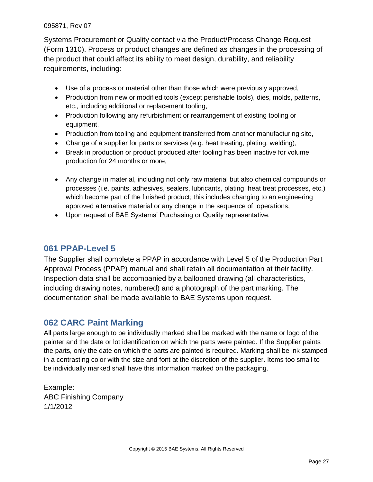Systems Procurement or Quality contact via the Product/Process Change Request (Form 1310). Process or product changes are defined as changes in the processing of the product that could affect its ability to meet design, durability, and reliability requirements, including:

- Use of a process or material other than those which were previously approved,
- Production from new or modified tools (except perishable tools), dies, molds, patterns, etc., including additional or replacement tooling,
- Production following any refurbishment or rearrangement of existing tooling or equipment,
- Production from tooling and equipment transferred from another manufacturing site,
- Change of a supplier for parts or services (e.g. heat treating, plating, welding),
- Break in production or product produced after tooling has been inactive for volume production for 24 months or more,
- Any change in material, including not only raw material but also chemical compounds or processes (i.e. paints, adhesives, sealers, lubricants, plating, heat treat processes, etc.) which become part of the finished product; this includes changing to an engineering approved alternative material or any change in the sequence of operations,
- Upon request of BAE Systems' Purchasing or Quality representative.

### <span id="page-26-0"></span>**061 PPAP-Level 5**

The Supplier shall complete a PPAP in accordance with Level 5 of the Production Part Approval Process (PPAP) manual and shall retain all documentation at their facility. Inspection data shall be accompanied by a ballooned drawing (all characteristics, including drawing notes, numbered) and a photograph of the part marking. The documentation shall be made available to BAE Systems upon request.

### <span id="page-26-1"></span>**062 CARC Paint Marking**

All parts large enough to be individually marked shall be marked with the name or logo of the painter and the date or lot identification on which the parts were painted. If the Supplier paints the parts, only the date on which the parts are painted is required. Marking shall be ink stamped in a contrasting color with the size and font at the discretion of the supplier. Items too small to be individually marked shall have this information marked on the packaging.

Example: ABC Finishing Company 1/1/2012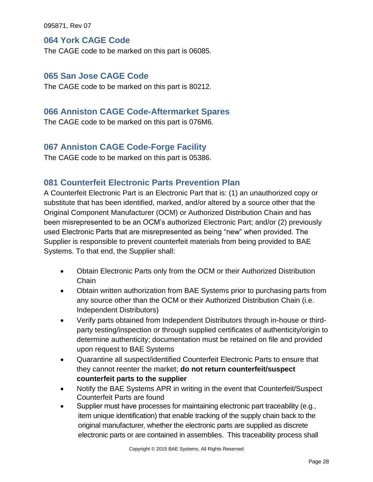#### <span id="page-27-0"></span>**064 York CAGE Code**

<span id="page-27-1"></span>The CAGE code to be marked on this part is 06085.

#### **065 San Jose CAGE Code**

<span id="page-27-2"></span>The CAGE code to be marked on this part is 80212.

#### **066 Anniston CAGE Code-Aftermarket Spares**

<span id="page-27-3"></span>The CAGE code to be marked on this part is 076M6.

#### **067 Anniston CAGE Code-Forge Facility**

<span id="page-27-4"></span>The CAGE code to be marked on this part is 05386.

#### **081 Counterfeit Electronic Parts Prevention Plan**

A Counterfeit Electronic Part is an Electronic Part that is: (1) an unauthorized copy or substitute that has been identified, marked, and/or altered by a source other that the Original Component Manufacturer (OCM) or Authorized Distribution Chain and has been misrepresented to be an OCM's authorized Electronic Part; and/or (2) previously used Electronic Parts that are misrepresented as being "new" when provided. The Supplier is responsible to prevent counterfeit materials from being provided to BAE Systems. To that end, the Supplier shall:

- Obtain Electronic Parts only from the OCM or their Authorized Distribution **Chain**
- Obtain written authorization from BAE Systems prior to purchasing parts from any source other than the OCM or their Authorized Distribution Chain (i.e. Independent Distributors)
- Verify parts obtained from Independent Distributors through in-house or thirdparty testing/inspection or through supplied certificates of authenticity/origin to determine authenticity; documentation must be retained on file and provided upon request to BAE Systems
- Quarantine all suspect/identified Counterfeit Electronic Parts to ensure that they cannot reenter the market; **do not return counterfeit/suspect counterfeit parts to the supplier**
- Notify the BAE Systems APR in writing in the event that Counterfeit/Suspect Counterfeit Parts are found
- Supplier must have processes for maintaining electronic part traceability (e.g*.*, item unique identification) that enable tracking of the supply chain back to the original manufacturer, whether the electronic parts are supplied as discrete electronic parts or are contained in assemblies. This traceability process shall